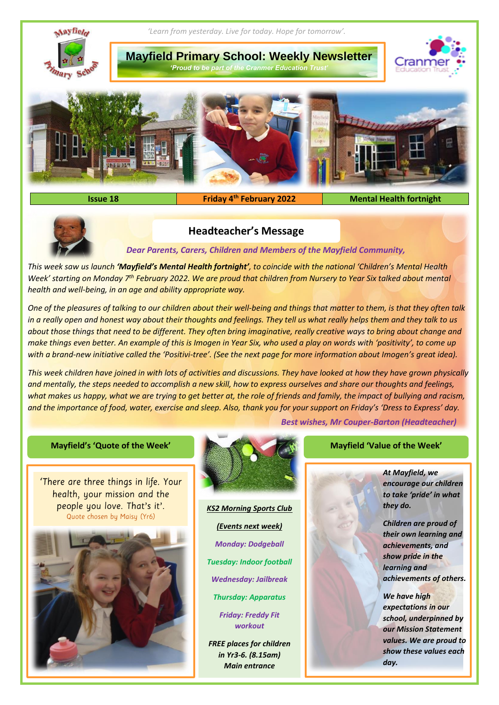

**Issue 18 Friday 4<sup>th</sup> February 2022** 

**Mental Health fortnight** 



# **Headteacher's Message**

*Dear Parents, Carers, Children and Members of the Mayfield Community,*

*This week saw us launch 'Mayfield's Mental Health fortnight', to coincide with the national 'Children's Mental Health Week' starting on Monday 7th February 2022. We are proud that children from Nursery to Year Six talked about mental health and well-being, in an age and ability appropriate way.* 

*One of the pleasures of talking to our children about their well-being and things that matter to them, is that they often talk in a really open and honest way about their thoughts and feelings. They tell us what really helps them and they talk to us about those things that need to be different. They often bring imaginative, really creative ways to bring about change and make things even better. An example of this is Imogen in Year Six, who used a play on words with 'positivity', to come up with a brand-new initiative called the 'Positivi-tree'. (See the next page for more information about Imogen's great idea).*

*This week children have joined in with lots of activities and discussions. They have looked at how they have grown physically and mentally, the steps needed to accomplish a new skill, how to express ourselves and share our thoughts and feelings, what makes us happy, what we are trying to get better at, the role of friends and family, the impact of bullying and racism, and the importance of food, water, exercise and sleep. Also, thank you for your support on Friday's 'Dress to Express' day.*

*Best wishes, Mr Couper-Barton (Headteacher)*

'There are three things in life. Your health, your mission and the people you love. That's it'. Quote chosen by Maisy (Yr6)





*KS2 Morning Sports Club (Events next week) Monday: Dodgeball Tuesday: Indoor football Wednesday: Jailbreak*

*Thursday: Apparatus*

*Friday: Freddy Fit workout*

*FREE places for children in Yr3-6. (8.15am) Main entrance*

*At Mayfield, we encourage our children to take 'pride' in what they do.* 

*Children are proud of their own learning and achievements, and show pride in the learning and achievements of others.*

*We have high expectations in our school, underpinned by our Mission Statement values. We are proud to show these values each day.*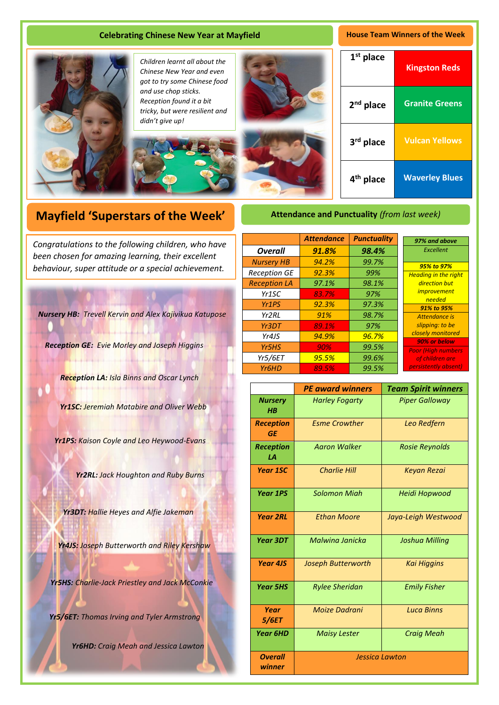## **Celebrating Chinese New Year at Mayfield House Team Winners of the Week**



*Children learnt all about the Chinese New Year and even got to try some Chinese food and use chop sticks. Reception found it a bit tricky, but were resilient and didn't give up!*





| $1st$ place              | <b>Kingston Reds</b>  |
|--------------------------|-----------------------|
| 2 <sup>nd</sup> place    | <b>Granite Greens</b> |
| 3 <sup>rd</sup> place    | <b>Vulcan Yellows</b> |
| 4 <sup>th</sup><br>place | <b>Waverley Blues</b> |

# **Mayfield 'Superstars of the Week'**

A *been chosen for amazing learning, their excellent Congratulations to the following children, who have behaviour, super attitude or a special achievement.*

*Nursery HB: Trevell Kervin and Alex Kajivikua Katupose*

*Reception GE: Evie Morley and Joseph Higgins*

*Reception LA: Isla Binns and Oscar Lynch*

*Yr1SC: Jeremiah Matabire and Oliver Webb*

*Yr1PS: Kaison Coyle and Leo Heywood-Evans* 

*Yr2RL: Jack Houghton and Ruby Burns*

*Yr3DT: Hallie Heyes and Alfie Jakeman*

*Yr4JS: Joseph Butterworth and Riley Kershaw*

*Yr5HS: Charlie-Jack Priestley and Jack McConkie*

*Yr5/6ET: Thomas Irving and Tyler Armstrong*

*Yr6HD: Craig Meah and Jessica Lawton*

# *Attendance Punctuality Overall 91.8% 98.4% Nursery HB 94.2% 99.7% Reception GE 92.3% 99% Reception LA 97.1% 98.1% Yr1SC 83.7% 97% Yr1PS 92.3% 97.3% Yr2RL 91% 98.7% Yr3DT 89.1% 97% Yr4JS 94.9% 96.7% Yr5HS 90% 99.5% Yr5/6ET 95.5% 99.6% Yr6HD 89.5% 99.5%*

**Attendance and Punctuality** *(from last week)*

| 97% and above               |  |  |
|-----------------------------|--|--|
| Excellent                   |  |  |
|                             |  |  |
| <b>95% to 97%</b>           |  |  |
| <b>Heading in the right</b> |  |  |
| direction but               |  |  |
| <i>improvement</i>          |  |  |
| needed                      |  |  |
| <b>91% to 95%</b>           |  |  |
| Attendance is               |  |  |
| slipping: to be             |  |  |
| closely monitored           |  |  |
| 90% or below                |  |  |
| <b>Poor (High numbers</b>   |  |  |
| of children are             |  |  |
| persistently absent)        |  |  |
|                             |  |  |

|                               | <b>PE award winners</b> | <b>Team Spirit winners</b> |
|-------------------------------|-------------------------|----------------------------|
| <b>Nursery</b><br>$H$ $B$     | <b>Harley Fogarty</b>   | <b>Piper Galloway</b>      |
| <b>Reception</b><br><b>GE</b> | <b>Esme Crowther</b>    | Leo Redfern                |
| <b>Reception</b><br>1А        | <b>Aaron Walker</b>     | <b>Rosie Reynolds</b>      |
| <b>Year 1SC</b>               | <b>Charlie Hill</b>     | <b>Keyan Rezai</b>         |
| <b>Year 1PS</b>               | <b>Solomon Migh</b>     | Heidi Hopwood              |
| <b>Year 2RL</b>               | <b>Ethan Moore</b>      | Jaya-Leigh Westwood        |
| <b>Year 3DT</b>               | Malwing Janicka         | Joshua Milling             |
| <b>Year 4JS</b>               | Joseph Butterworth      | <b>Kai Higgins</b>         |
| <b>Year 5HS</b>               | <b>Rylee Sheridan</b>   | <b>Emily Fisher</b>        |
| Year<br>5/6ET                 | Moize Dadrani           | <b>Luca Binns</b>          |
| <b>Year 6HD</b>               | <b>Maisy Lester</b>     | <b>Craig Meah</b>          |
| <b>Overall</b><br>winner      | <b>Jessica Lawton</b>   |                            |